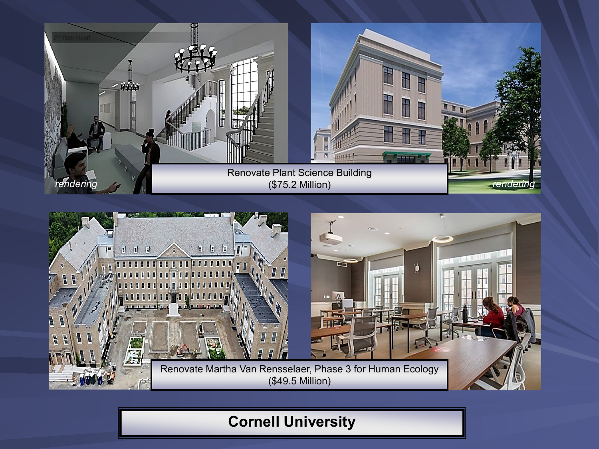



# **Cornell University**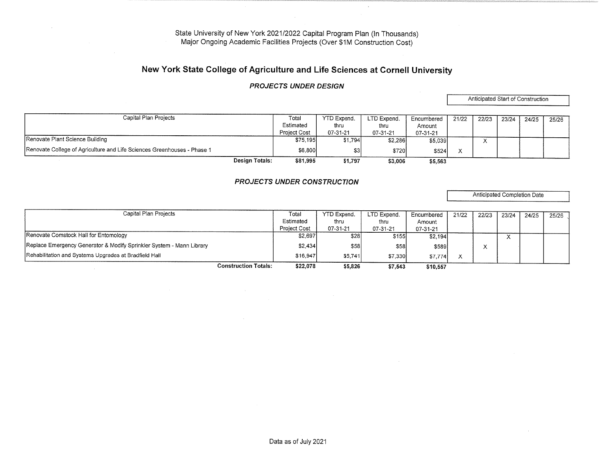# New York State College of Agriculture and Life Sciences at Cornell University

### PROJECTS UNDER DESIGN

Anticipated Start of Construction

| Capital Plan Projects                                                   |                | Total               | YTD Expend. | LTD Expend. | Encumbered | 21/22 | 22/23 | 23/24 | 24/25 | 25/26 |
|-------------------------------------------------------------------------|----------------|---------------------|-------------|-------------|------------|-------|-------|-------|-------|-------|
|                                                                         |                | Estimated           | thru        | thru        | Amount     |       |       |       |       |       |
|                                                                         |                | <b>Project Cost</b> | 07-31-21    | 07-31-21    | 07-31-21   |       |       |       |       |       |
| Renovate Plant Science Building                                         |                | \$75,195            | \$1,794     | \$2,286     | \$5,039    |       |       |       |       |       |
| Renovate College of Agriculture and Life Sciences Greenhouses - Phase 1 |                | \$6,800             |             | \$720       | \$524      |       |       |       |       |       |
|                                                                         | Design Totals: | \$81,995            | \$1,797     | \$3,006     | \$5,563    |       |       |       |       |       |

### PROJECTS UNDER CONSTRUCTION

Anticipated Completion Date

| Capital Plan Projects                                                | Total               | <b>YTD Expend.</b> | LTD Expend. | Encumbered | 21/22 | 22/23 | 23/24     | 24/25 | 25/26 |
|----------------------------------------------------------------------|---------------------|--------------------|-------------|------------|-------|-------|-----------|-------|-------|
|                                                                      | Estimated           | thru               | thru        | Amount     |       |       |           |       |       |
|                                                                      | <b>Project Cost</b> | 07-31-21           | 07-31-21    | 07-31-21   |       |       |           |       |       |
| Renovate Comstock Hall for Entomology                                | \$2,697             | \$281              | \$155       | \$2,194]   |       |       | $\Lambda$ |       |       |
| Replace Emergency Generator & Modify Sprinkler System - Mann Library | \$2,434             | \$58               | \$58        | \$589      |       |       |           |       |       |
| Rehabilitation and Systems Upgrades at Bradfield Hall                | \$16,947            | \$5,741            | \$7,330     | \$7,774]   |       |       |           |       |       |
| <b>Construction Totals:</b>                                          | \$22,078            | \$5,826            | \$7,543     | \$10,557   |       |       |           |       |       |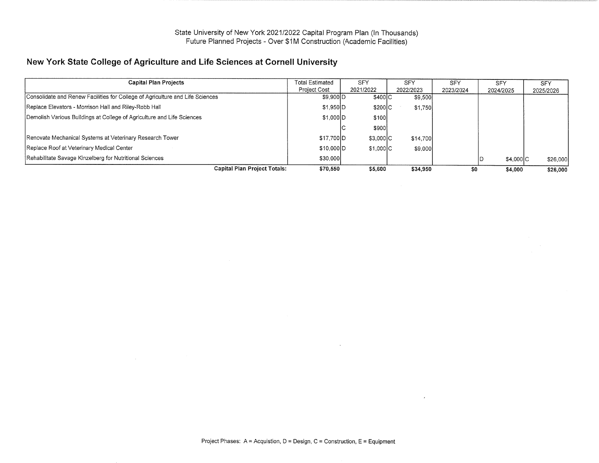# New York State College of Agriculture and Life Sciences at Cornell University

| <b>Capital Plan Projects</b>                                                  | <b>Total Estimated</b> | <b>SFY</b>  | <b>SFY</b>         | <b>SFY</b> | <b>SFY</b> | <b>SFY</b> |
|-------------------------------------------------------------------------------|------------------------|-------------|--------------------|------------|------------|------------|
|                                                                               | <b>Project Cost</b>    | 2021/2022   | 2022/2023          | 2023/2024  | 2024/2025  | 2025/2026  |
| Consolidate and Renew Facilities for College of Agriculture and Life Sciences | \$9,900 D              |             | \$400 C<br>\$9,500 |            |            |            |
| Replace Elevators - Morrison Hall and Riley-Robb Hall                         | \$1,950 D              |             | \$200 C<br>\$1,750 |            |            |            |
| Demolish Various Buildings at College of Agriculture and Life Sciences        | \$1,000 D              | \$100       |                    |            |            |            |
|                                                                               |                        | \$900       |                    |            |            |            |
| Renovate Mechanical Systems at Veterinary Research Tower                      | \$17.700 D             | $$3,000$  C | \$14,700           |            |            |            |
| Replace Roof at Veterinary Medical Center                                     | \$10,000 D             | \$1,000 C   | \$9,000            |            |            |            |
| Rehabilitate Savage Kinzelberg for Nutritional Sciences                       | \$30,000               |             |                    |            | \$4,000 C  | \$26,000   |
| <b>Capital Plan Project Totals:</b>                                           | \$70.550               | \$5,600     | \$34,950           | \$0        | \$4,000    | \$26,000   |

 $\lambda$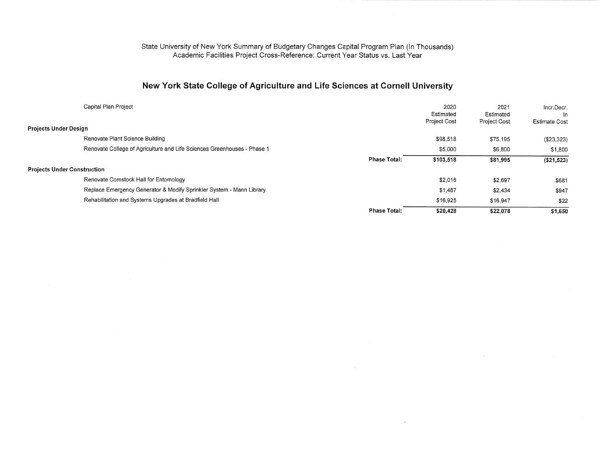#### State University of New York Summary of Budgetary Changes Capital Program Plan (In Thousands) Academic Facilities Project Cross-Reference: Current Year Status vs. Last Year

# New York State College of Agriculture and Life Sciences at Cornell University

| Capital Plan Project                                                    |                     | 2020<br>Estimated<br><b>Project Cost</b> | 2021<br>Estimated<br><b>Project Cost</b> | Incr.Decr.<br>In.<br><b>Estimate Cost</b> |
|-------------------------------------------------------------------------|---------------------|------------------------------------------|------------------------------------------|-------------------------------------------|
| <b>Projects Under Design</b>                                            |                     |                                          |                                          |                                           |
| Renovate Plant Science Building                                         |                     | \$98,518                                 | \$75,195                                 | $(\$23,323)$                              |
| Renovate College of Agriculture and Life Sciences Greenhouses - Phase 1 |                     | \$5,000                                  | \$6,800                                  | \$1.800                                   |
|                                                                         | <b>Phase Total:</b> | \$103,518                                | \$81,995                                 | (\$21,523)                                |
| <b>Projects Under Construction</b>                                      |                     |                                          |                                          |                                           |
| Renovate Comstock Hall for Entomology                                   |                     | \$2,016                                  | \$2,697                                  | \$681                                     |
| Replace Emergency Generator & Modify Sprinkler System - Mann Library    |                     | \$1,487                                  | \$2,434                                  | \$947                                     |
| Rehabilitation and Systems Upgrades at Bradfield Hall                   |                     | \$16,925                                 | \$16,947                                 | \$22                                      |
|                                                                         | <b>Phase Total:</b> | \$20,428                                 | \$22,078                                 | \$1,650                                   |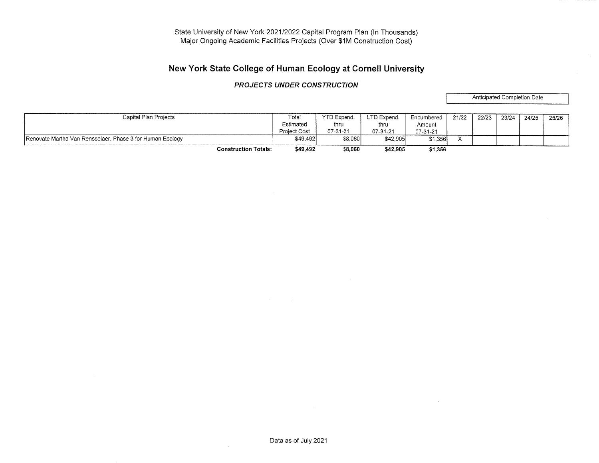# New York State College of Human Ecology at Cornell University

### PROJECTS UNDER CONSTRUCTION

Anticipated Completion Date

 $\sim 10^{-1}$ 

| Capital Plan Projects                                     | Total               | YTD Expend. | LTD Expend. | Encumbered | 21/22                | 22/23 | 23/24 | 24/25 | 25/26 |
|-----------------------------------------------------------|---------------------|-------------|-------------|------------|----------------------|-------|-------|-------|-------|
|                                                           | Estimated           | thru        | thru        | Amount     |                      |       |       |       |       |
|                                                           | <b>Project Cost</b> | 07-31-21    | 07-31-21    | 07-31-21   |                      |       |       |       |       |
| Renovate Martha Van Rensselaer, Phase 3 for Human Ecology | \$49,492            | \$8.060     | \$42,905    | \$1.356    | $\ddot{\phantom{0}}$ |       |       |       |       |
| <b>Construction Totals:</b>                               | \$49,492            | \$8,060     | \$42,905    | \$1,356    |                      |       |       |       |       |

Data as of July 2021

 $\sim$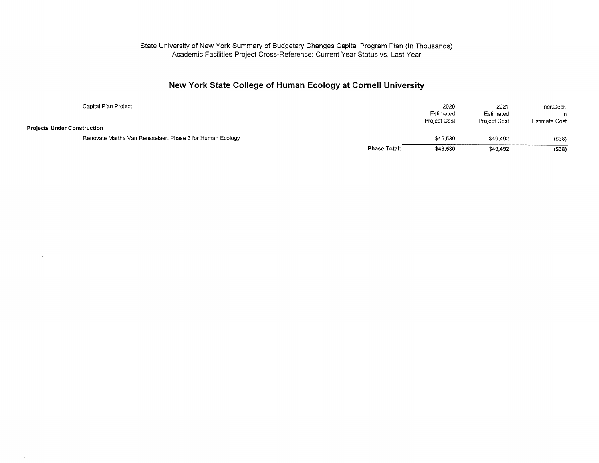#### State University of New York Summary of Budgetary Changes Capital Program Plan (In Thousands) Academic Facilities Project Cross-Reference: Current Year Status vs. Last Year

# New York State College of Human Ecology at Cornell University

| Capital Plan Project                                      |                     | 2020                | 2021         | Incr.Decr.           |
|-----------------------------------------------------------|---------------------|---------------------|--------------|----------------------|
|                                                           |                     | Estimated           | Estimated    | In.                  |
|                                                           |                     | <b>Project Cost</b> | Project Cost | <b>Estimate Cost</b> |
| <b>Projects Under Construction</b>                        |                     |                     |              |                      |
| Renovate Martha Van Rensselaer, Phase 3 for Human Ecology |                     | \$49,530            | \$49,492     | (\$38)               |
|                                                           | <b>Phase Total:</b> | \$49,530            | \$49.492     | ( \$38)              |

 $\sim$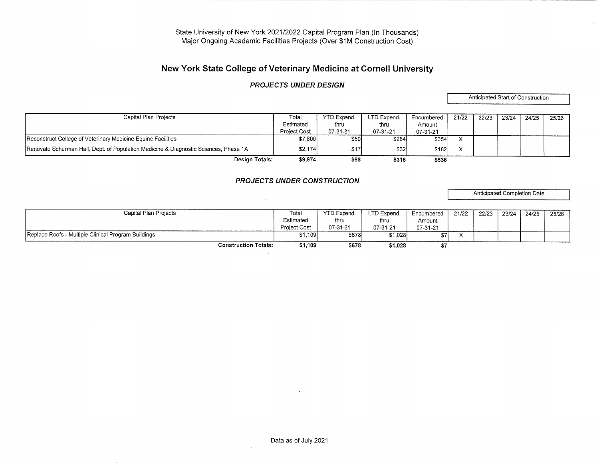# New York State College of Veterinary Medicine at Cornell University

### PROJECTS UNDER DESIGN

Anticipated Start of Construction

| Capital Plan Projects                                                                | Total        | <b>YTD Expend.</b> | LTD Expend. | Encumbered | 21/22 | 22/23 | 23/24 | 24/25 | 25/26 |
|--------------------------------------------------------------------------------------|--------------|--------------------|-------------|------------|-------|-------|-------|-------|-------|
|                                                                                      | Estimated    | thru               | thru        | Amount     |       |       |       |       |       |
|                                                                                      | Project Cost | 07-31-21           | 07-31-21    | 07-31-21   |       |       |       |       |       |
| Reconstruct College of Veterinary Medicine Equine Facilities                         | \$7,800      | \$50l              | \$284       | \$354      |       |       |       |       |       |
| Renovate Schurman Hall, Dept. of Population Medicine & Diagnostic Sciences, Phase 1A | \$2,174      | \$17               | \$321       | \$1821     |       |       |       |       |       |
| Design Totals:                                                                       | \$9,974      | \$68               | \$316       | \$536      |       |       |       |       |       |

PROJECTS UNDER CONSTRUCTION

 $\sim$   $\sim$ 

 $\sim 10^{-5}$ 

Anticipated Completion Date

| Capital Plan Projects                               | Tota.               | YTD Expend,  | LTD Expend. | Encumbered | 21/22 | 22/23 | 23/24 | 24/25 | 25/26 |
|-----------------------------------------------------|---------------------|--------------|-------------|------------|-------|-------|-------|-------|-------|
|                                                     | Estimated           | thru         | thru        | Amount     |       |       |       |       |       |
|                                                     | <b>Project Cost</b> | 07-31-21     | 07-31-21    | 07-31-21   |       |       |       |       |       |
| Replace Roofs - Multiple Clinical Program Buildings | \$1,109             | <b>\$678</b> | \$1,028     |            |       |       |       |       |       |
| <b>Construction Totals:</b>                         | \$1,109             | \$678        | \$1,028     | $\sim$     |       |       |       |       |       |

 $\mathcal{L}$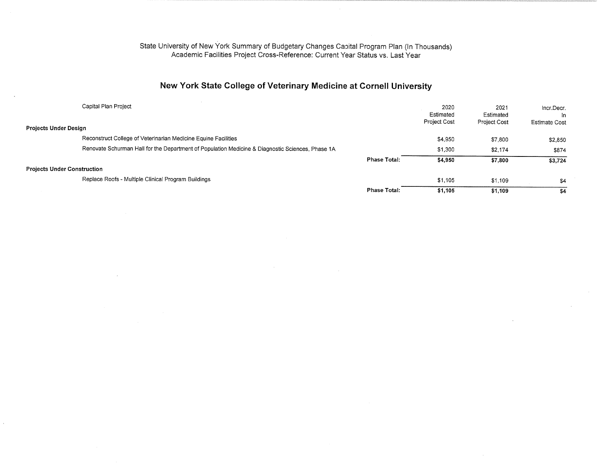# New York State College of Veterinary Medicine at Cornell University

| Capital Plan Project<br>Projects Under Design                                                    |                     | 2020<br>Estimated<br>Project Cost | 2021<br>Estimated<br>Project Cost | Incr.Decr.<br>In.<br>Estimate Cost |
|--------------------------------------------------------------------------------------------------|---------------------|-----------------------------------|-----------------------------------|------------------------------------|
| Reconstruct College of Veterinarian Medicine Equine Facilities                                   |                     |                                   |                                   |                                    |
|                                                                                                  |                     | \$4,950                           | \$7,800                           | \$2,850                            |
| Renovate Schurman Hall for the Department of Population Medicine & Diagnostic Sciences, Phase 1A |                     | \$1,300                           | \$2,174                           | \$874                              |
|                                                                                                  | <b>Phase Total:</b> | \$4,950                           | \$7,800                           | \$3,724                            |
| Projects Under Construction                                                                      |                     |                                   |                                   |                                    |
| Replace Roofs - Multiple Clinical Program Buildings                                              |                     | \$1,105                           | \$1,109                           | \$4                                |
|                                                                                                  | <b>Phase Total:</b> | \$1,105                           | \$1,109                           | \$4                                |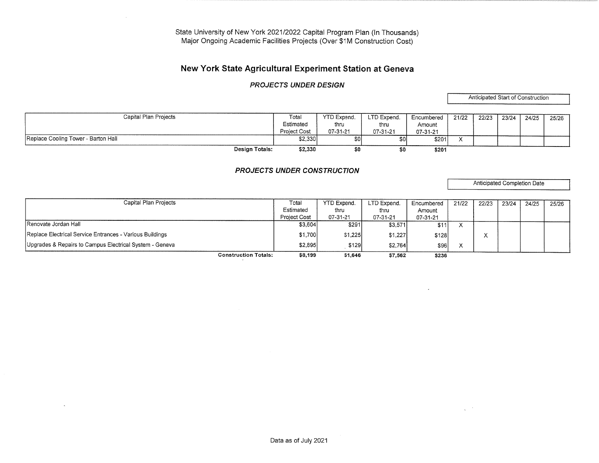# New York State Agricultural Experiment Station at Geneva

### PROJECTS UNDER DESIGN

Anticipated Start of Construction

| Capital Plan Projects               | Total               | YTD Expend, | LTD Expend. | Encumbered | 21/22 | 22/23 | 23/24 | 24/25 | 25/26 |
|-------------------------------------|---------------------|-------------|-------------|------------|-------|-------|-------|-------|-------|
|                                     | Estimated           | thru        | thru        | Amount     |       |       |       |       |       |
|                                     | <b>Project Cost</b> | 07-31-21    | 07-31-21    | 07-31-21   |       |       |       |       |       |
| Replace Cooling Tower - Barton Hall | \$2.330             |             | \$0l        | \$201      |       |       |       |       |       |
| Design Totals:                      | \$2,330             |             | \$0         | \$201      |       |       |       |       |       |

### PROJECTS UNDER CONSTRUCTION

Anticipated Completion Date

 $\overline{\phantom{a}}$ 

| Capital Plan Projects                                    | Total               | <b>YTD Expend.</b> | LTD Expend. | Encumbered | 21/22 | 22/23 | 23/24 | 24/25 | 25/26 |
|----------------------------------------------------------|---------------------|--------------------|-------------|------------|-------|-------|-------|-------|-------|
|                                                          | Estimated           | thru               | thru        | Amount     |       |       |       |       |       |
|                                                          | <b>Project Cost</b> | 07-31-21           | 07-31-21    | 07-31-21   |       |       |       |       |       |
| <b>IRenovate Jordan Hall</b>                             | \$3,604             | \$291              | \$3,571     | \$11]      |       |       |       |       |       |
| Replace Electrical Service Entrances - Various Buildings | \$1,700             | \$1,225            | \$1,227     | \$128      |       |       |       |       |       |
| Upgrades & Repairs to Campus Electrical System - Geneva  | \$2,895             | \$129              | \$2,764     | \$96       |       |       |       |       |       |
| <b>Construction Totals:</b>                              | \$8,199             | \$1,646            | \$7,562     | \$236      |       |       |       |       |       |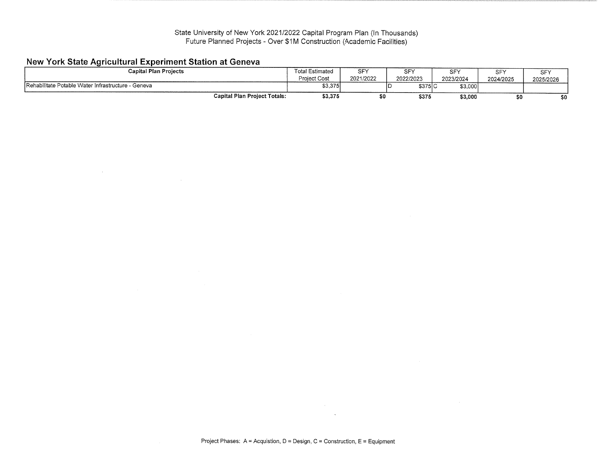# New York State Agricultural Experiment Station at Geneva

| <b>Capital Plan Projects</b>                       | 「otal Estimated | SFY       | $\sim$ $-$ | <b>SEY</b> | $\sim$ $\sim$ | <b>SFY</b> |
|----------------------------------------------------|-----------------|-----------|------------|------------|---------------|------------|
|                                                    | Project Cost    | 2021/2022 | 2022/2023  | 2023/2024  | 2024/2025     | 2025/2026  |
| Rehabilitate Potable Water Infrastructure - Geneva | \$3,375         |           | \$375 C    | \$3,000    |               |            |
| <b>Capital Plan Project Totals:</b>                | \$3,375         |           | \$375      | \$3,000    | \$0           | ¢Λ         |

 $\sim 100$  km s  $^{-1}$